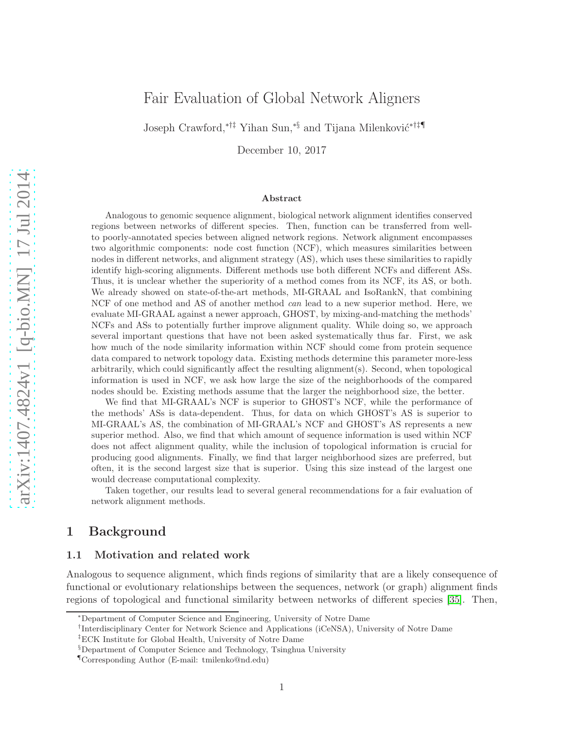# Fair Evaluation of Global Network Aligners

Joseph Crawford,<sup>∗†‡</sup> Yihan Sun,<sup>∗§</sup> and Tijana Milenković<sup>∗†‡¶</sup>

December 10, 2017

#### Abstract

Analogous to genomic sequence alignment, biological network alignment identifies conserved regions between networks of different species. Then, function can be transferred from wellto poorly-annotated species between aligned network regions. Network alignment encompasses two algorithmic components: node cost function (NCF), which measures similarities between nodes in different networks, and alignment strategy (AS), which uses these similarities to rapidly identify high-scoring alignments. Different methods use both different NCFs and different ASs. Thus, it is unclear whether the superiority of a method comes from its NCF, its AS, or both. We already showed on state-of-the-art methods, MI-GRAAL and IsoRankN, that combining NCF of one method and AS of another method *can* lead to a new superior method. Here, we evaluate MI-GRAAL against a newer approach, GHOST, by mixing-and-matching the methods' NCFs and ASs to potentially further improve alignment quality. While doing so, we approach several important questions that have not been asked systematically thus far. First, we ask how much of the node similarity information within NCF should come from protein sequence data compared to network topology data. Existing methods determine this parameter more-less arbitrarily, which could significantly affect the resulting alignment(s). Second, when topological information is used in NCF, we ask how large the size of the neighborhoods of the compared nodes should be. Existing methods assume that the larger the neighborhood size, the better.

We find that MI-GRAAL's NCF is superior to GHOST's NCF, while the performance of the methods' ASs is data-dependent. Thus, for data on which GHOST's AS is superior to MI-GRAAL's AS, the combination of MI-GRAAL's NCF and GHOST's AS represents a new superior method. Also, we find that which amount of sequence information is used within NCF does not affect alignment quality, while the inclusion of topological information is crucial for producing good alignments. Finally, we find that larger neighborhood sizes are preferred, but often, it is the second largest size that is superior. Using this size instead of the largest one would decrease computational complexity.

Taken together, our results lead to several general recommendations for a fair evaluation of network alignment methods.

# 1 Background

## 1.1 Motivation and related work

Analogous to sequence alignment, which finds regions of similarity that are a likely consequence of functional or evolutionary relationships between the sequences, network (or graph) alignment finds regions of topological and functional similarity between networks of different species [\[35\]](#page-18-0). Then,

<sup>∗</sup>Department of Computer Science and Engineering, University of Notre Dame

<sup>†</sup> Interdisciplinary Center for Network Science and Applications (iCeNSA), University of Notre Dame

<sup>‡</sup>ECK Institute for Global Health, University of Notre Dame

<sup>§</sup>Department of Computer Science and Technology, Tsinghua University

<sup>¶</sup>Corresponding Author (E-mail: tmilenko@nd.edu)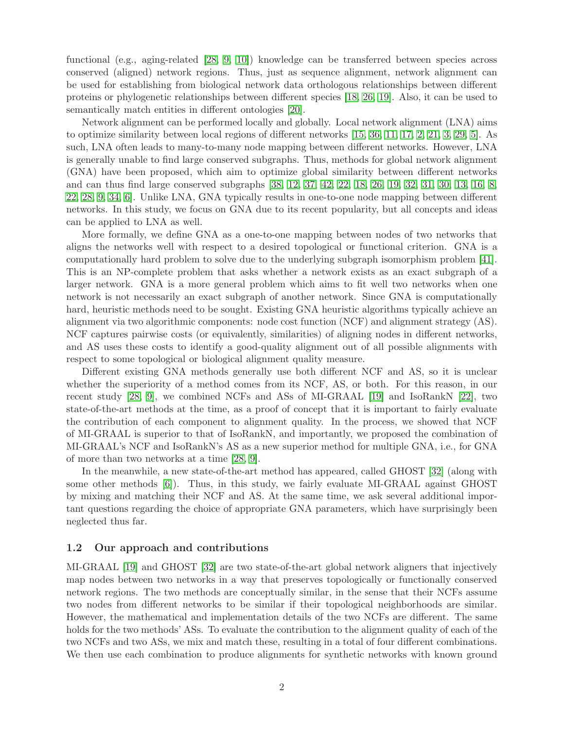functional (e.g., aging-related [\[28,](#page-18-1) [9,](#page-16-0) [10\]](#page-16-1)) knowledge can be transferred between species across conserved (aligned) network regions. Thus, just as sequence alignment, network alignment can be used for establishing from biological network data orthologous relationships between different proteins or phylogenetic relationships between different species [\[18,](#page-17-0) [26,](#page-17-1) [19\]](#page-17-2). Also, it can be used to semantically match entities in different ontologies [\[20\]](#page-17-3).

Network alignment can be performed locally and globally. Local network alignment (LNA) aims to optimize similarity between local regions of different networks [\[15,](#page-17-4) [36,](#page-18-2) [11,](#page-17-5) [17,](#page-17-6) [2,](#page-16-2) [21,](#page-17-7) [3,](#page-16-3) [29,](#page-18-3) [5\]](#page-16-4). As such, LNA often leads to many-to-many node mapping between different networks. However, LNA is generally unable to find large conserved subgraphs. Thus, methods for global network alignment (GNA) have been proposed, which aim to optimize global similarity between different networks and can thus find large conserved subgraphs [\[38,](#page-18-4) [12,](#page-17-8) [37,](#page-18-5) [42,](#page-18-6) [22,](#page-17-9) [18,](#page-17-0) [26,](#page-17-1) [19,](#page-17-2) [32,](#page-18-7) [31,](#page-18-8) [30,](#page-18-9) [13,](#page-17-10) [16,](#page-17-11) [8,](#page-16-5) [22,](#page-17-9) [28,](#page-18-1) [9,](#page-16-0) [34,](#page-18-10) [6\]](#page-16-6). Unlike LNA, GNA typically results in one-to-one node mapping between different networks. In this study, we focus on GNA due to its recent popularity, but all concepts and ideas can be applied to LNA as well.

More formally, we define GNA as a one-to-one mapping between nodes of two networks that aligns the networks well with respect to a desired topological or functional criterion. GNA is a computationally hard problem to solve due to the underlying subgraph isomorphism problem [\[41\]](#page-18-11). This is an NP-complete problem that asks whether a network exists as an exact subgraph of a larger network. GNA is a more general problem which aims to fit well two networks when one network is not necessarily an exact subgraph of another network. Since GNA is computationally hard, heuristic methods need to be sought. Existing GNA heuristic algorithms typically achieve an alignment via two algorithmic components: node cost function (NCF) and alignment strategy (AS). NCF captures pairwise costs (or equivalently, similarities) of aligning nodes in different networks, and AS uses these costs to identify a good-quality alignment out of all possible alignments with respect to some topological or biological alignment quality measure.

Different existing GNA methods generally use both different NCF and AS, so it is unclear whether the superiority of a method comes from its NCF, AS, or both. For this reason, in our recent study [\[28,](#page-18-1) [9\]](#page-16-0), we combined NCFs and ASs of MI-GRAAL [\[19\]](#page-17-2) and IsoRankN [\[22\]](#page-17-9), two state-of-the-art methods at the time, as a proof of concept that it is important to fairly evaluate the contribution of each component to alignment quality. In the process, we showed that NCF of MI-GRAAL is superior to that of IsoRankN, and importantly, we proposed the combination of MI-GRAAL's NCF and IsoRankN's AS as a new superior method for multiple GNA, i.e., for GNA of more than two networks at a time [\[28,](#page-18-1) [9\]](#page-16-0).

In the meanwhile, a new state-of-the-art method has appeared, called GHOST [\[32\]](#page-18-7) (along with some other methods [\[6\]](#page-16-6)). Thus, in this study, we fairly evaluate MI-GRAAL against GHOST by mixing and matching their NCF and AS. At the same time, we ask several additional important questions regarding the choice of appropriate GNA parameters, which have surprisingly been neglected thus far.

### 1.2 Our approach and contributions

MI-GRAAL [\[19\]](#page-17-2) and GHOST [\[32\]](#page-18-7) are two state-of-the-art global network aligners that injectively map nodes between two networks in a way that preserves topologically or functionally conserved network regions. The two methods are conceptually similar, in the sense that their NCFs assume two nodes from different networks to be similar if their topological neighborhoods are similar. However, the mathematical and implementation details of the two NCFs are different. The same holds for the two methods' ASs. To evaluate the contribution to the alignment quality of each of the two NCFs and two ASs, we mix and match these, resulting in a total of four different combinations. We then use each combination to produce alignments for synthetic networks with known ground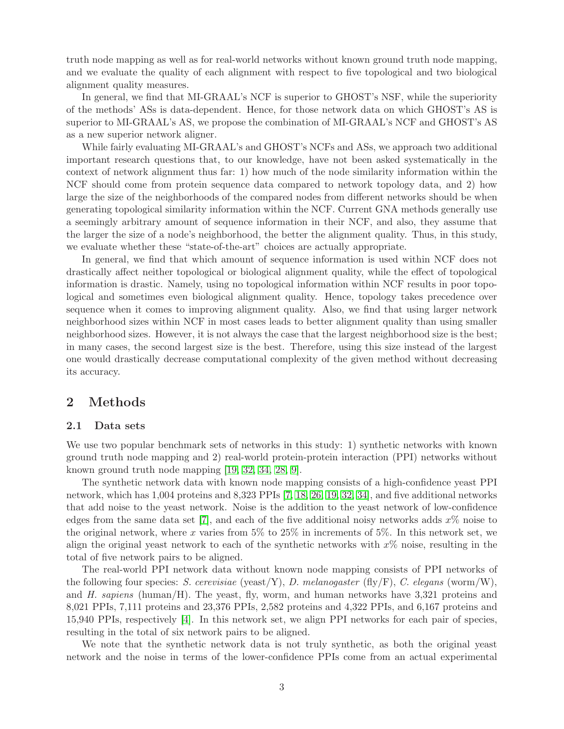truth node mapping as well as for real-world networks without known ground truth node mapping, and we evaluate the quality of each alignment with respect to five topological and two biological alignment quality measures.

In general, we find that MI-GRAAL's NCF is superior to GHOST's NSF, while the superiority of the methods' ASs is data-dependent. Hence, for those network data on which GHOST's AS is superior to MI-GRAAL's AS, we propose the combination of MI-GRAAL's NCF and GHOST's AS as a new superior network aligner.

While fairly evaluating MI-GRAAL's and GHOST's NCFs and ASs, we approach two additional important research questions that, to our knowledge, have not been asked systematically in the context of network alignment thus far: 1) how much of the node similarity information within the NCF should come from protein sequence data compared to network topology data, and 2) how large the size of the neighborhoods of the compared nodes from different networks should be when generating topological similarity information within the NCF. Current GNA methods generally use a seemingly arbitrary amount of sequence information in their NCF, and also, they assume that the larger the size of a node's neighborhood, the better the alignment quality. Thus, in this study, we evaluate whether these "state-of-the-art" choices are actually appropriate.

In general, we find that which amount of sequence information is used within NCF does not drastically affect neither topological or biological alignment quality, while the effect of topological information is drastic. Namely, using no topological information within NCF results in poor topological and sometimes even biological alignment quality. Hence, topology takes precedence over sequence when it comes to improving alignment quality. Also, we find that using larger network neighborhood sizes within NCF in most cases leads to better alignment quality than using smaller neighborhood sizes. However, it is not always the case that the largest neighborhood size is the best; in many cases, the second largest size is the best. Therefore, using this size instead of the largest one would drastically decrease computational complexity of the given method without decreasing its accuracy.

# <span id="page-2-0"></span>2 Methods

## 2.1 Data sets

We use two popular benchmark sets of networks in this study: 1) synthetic networks with known ground truth node mapping and 2) real-world protein-protein interaction (PPI) networks without known ground truth node mapping [\[19,](#page-17-2) [32,](#page-18-7) [34,](#page-18-10) [28,](#page-18-1) [9\]](#page-16-0).

The synthetic network data with known node mapping consists of a high-confidence yeast PPI network, which has 1,004 proteins and 8,323 PPIs [\[7,](#page-16-7) [18,](#page-17-0) [26,](#page-17-1) [19,](#page-17-2) [32,](#page-18-7) [34\]](#page-18-10), and five additional networks that add noise to the yeast network. Noise is the addition to the yeast network of low-confidence edges from the same data set  $[7]$ , and each of the five additional noisy networks adds  $x\%$  noise to the original network, where x varies from  $5\%$  to  $25\%$  in increments of  $5\%$ . In this network set, we align the original yeast network to each of the synthetic networks with  $x\%$  noise, resulting in the total of five network pairs to be aligned.

The real-world PPI network data without known node mapping consists of PPI networks of the following four species: *S. cerevisiae* (yeast/Y), *D. melanogaster* (fly/F), *C. elegans* (worm/W), and *H. sapiens* (human/H). The yeast, fly, worm, and human networks have 3,321 proteins and 8,021 PPIs, 7,111 proteins and 23,376 PPIs, 2,582 proteins and 4,322 PPIs, and 6,167 proteins and 15,940 PPIs, respectively [\[4\]](#page-16-8). In this network set, we align PPI networks for each pair of species, resulting in the total of six network pairs to be aligned.

We note that the synthetic network data is not truly synthetic, as both the original yeast network and the noise in terms of the lower-confidence PPIs come from an actual experimental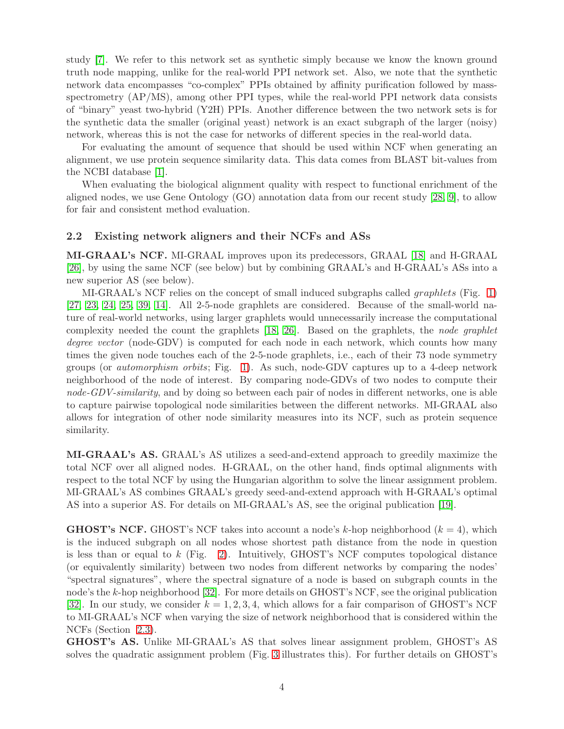study [\[7\]](#page-16-7). We refer to this network set as synthetic simply because we know the known ground truth node mapping, unlike for the real-world PPI network set. Also, we note that the synthetic network data encompasses "co-complex" PPIs obtained by affinity purification followed by massspectrometry (AP/MS), among other PPI types, while the real-world PPI network data consists of "binary" yeast two-hybrid (Y2H) PPIs. Another difference between the two network sets is for the synthetic data the smaller (original yeast) network is an exact subgraph of the larger (noisy) network, whereas this is not the case for networks of different species in the real-world data.

For evaluating the amount of sequence that should be used within NCF when generating an alignment, we use protein sequence similarity data. This data comes from BLAST bit-values from the NCBI database [\[1\]](#page-16-9).

When evaluating the biological alignment quality with respect to functional enrichment of the aligned nodes, we use Gene Ontology (GO) annotation data from our recent study [\[28,](#page-18-1) [9\]](#page-16-0), to allow for fair and consistent method evaluation.

## 2.2 Existing network aligners and their NCFs and ASs

MI-GRAAL's NCF. MI-GRAAL improves upon its predecessors, GRAAL [\[18\]](#page-17-0) and H-GRAAL [\[26\]](#page-17-1), by using the same NCF (see below) but by combining GRAAL's and H-GRAAL's ASs into a new superior AS (see below).

MI-GRAAL's NCF relies on the concept of small induced subgraphs called graphlets (Fig. [1\)](#page-4-0) [\[27,](#page-18-12) [23,](#page-17-12) [24,](#page-17-13) [25,](#page-17-14) [39,](#page-18-13) [14\]](#page-17-15). All 2-5-node graphlets are considered. Because of the small-world nature of real-world networks, using larger graphlets would unnecessarily increase the computational complexity needed the count the graphlets [\[18,](#page-17-0) [26\]](#page-17-1). Based on the graphlets, the *node graphlet degree vector* (node-GDV) is computed for each node in each network, which counts how many times the given node touches each of the 2-5-node graphlets, i.e., each of their 73 node symmetry groups (or *automorphism orbits*; Fig. [1\)](#page-4-0). As such, node-GDV captures up to a 4-deep network neighborhood of the node of interest. By comparing node-GDVs of two nodes to compute their *node-GDV-similarity*, and by doing so between each pair of nodes in different networks, one is able to capture pairwise topological node similarities between the different networks. MI-GRAAL also allows for integration of other node similarity measures into its NCF, such as protein sequence similarity.

MI-GRAAL's AS. GRAAL's AS utilizes a seed-and-extend approach to greedily maximize the total NCF over all aligned nodes. H-GRAAL, on the other hand, finds optimal alignments with respect to the total NCF by using the Hungarian algorithm to solve the linear assignment problem. MI-GRAAL's AS combines GRAAL's greedy seed-and-extend approach with H-GRAAL's optimal AS into a superior AS. For details on MI-GRAAL's AS, see the original publication [\[19\]](#page-17-2).

**GHOST's NCF.** GHOST's NCF takes into account a node's k-hop neighborhood  $(k = 4)$ , which is the induced subgraph on all nodes whose shortest path distance from the node in question is less than or equal to  $k$  (Fig. [2\)](#page-5-0). Intuitively, GHOST's NCF computes topological distance (or equivalently similarity) between two nodes from different networks by comparing the nodes' "spectral signatures", where the spectral signature of a node is based on subgraph counts in the node's the k-hop neighborhood [\[32\]](#page-18-7). For more details on GHOST's NCF, see the original publication [\[32\]](#page-18-7). In our study, we consider  $k = 1, 2, 3, 4$ , which allows for a fair comparison of GHOST's NCF to MI-GRAAL's NCF when varying the size of network neighborhood that is considered within the NCFs (Section [2.3\)](#page-4-1).

GHOST's AS. Unlike MI-GRAAL's AS that solves linear assignment problem, GHOST's AS solves the quadratic assignment problem (Fig. [3](#page-6-0) illustrates this). For further details on GHOST's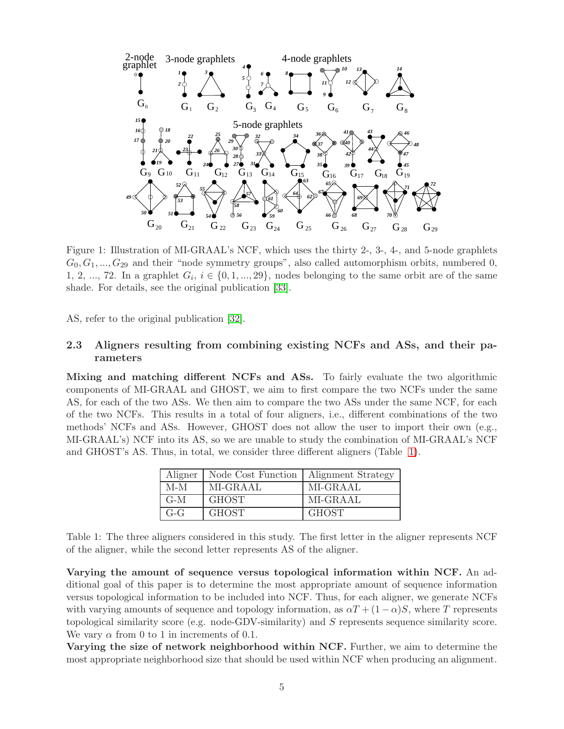

<span id="page-4-0"></span>Figure 1: Illustration of MI-GRAAL's NCF, which uses the thirty 2-, 3-, 4-, and 5-node graphlets  $G_0, G_1, ..., G_{29}$  and their "node symmetry groups", also called automorphism orbits, numbered 0, 1, 2, ..., 72. In a graphlet  $G_i$ ,  $i \in \{0, 1, ..., 29\}$ , nodes belonging to the same orbit are of the same shade. For details, see the original publication [\[33\]](#page-18-14).

AS, refer to the original publication [\[32\]](#page-18-7).

## <span id="page-4-1"></span>2.3 Aligners resulting from combining existing NCFs and ASs, and their parameters

Mixing and matching different NCFs and ASs. To fairly evaluate the two algorithmic components of MI-GRAAL and GHOST, we aim to first compare the two NCFs under the same AS, for each of the two ASs. We then aim to compare the two ASs under the same NCF, for each of the two NCFs. This results in a total of four aligners, i.e., different combinations of the two methods' NCFs and ASs. However, GHOST does not allow the user to import their own (e.g., MI-GRAAL's) NCF into its AS, so we are unable to study the combination of MI-GRAAL's NCF and GHOST's AS. Thus, in total, we consider three different aligners (Table [1\)](#page-4-2).

|       | Aligner   Node Cost Function | Alignment Strategy |
|-------|------------------------------|--------------------|
| $M-M$ | MI-GRAAL                     | MI-GRAAL           |
| $G-M$ | <b>GHOST</b>                 | MI-GRAAL           |
| $G-G$ | <b>GHOST</b>                 | <b>GHOST</b>       |

<span id="page-4-2"></span>Table 1: The three aligners considered in this study. The first letter in the aligner represents NCF of the aligner, while the second letter represents AS of the aligner.

Varying the amount of sequence versus topological information within NCF. An additional goal of this paper is to determine the most appropriate amount of sequence information versus topological information to be included into NCF. Thus, for each aligner, we generate NCFs with varying amounts of sequence and topology information, as  $\alpha T + (1 - \alpha)S$ , where T represents topological similarity score (e.g. node-GDV-similarity) and S represents sequence similarity score. We vary  $\alpha$  from 0 to 1 in increments of 0.1.

Varying the size of network neighborhood within NCF. Further, we aim to determine the most appropriate neighborhood size that should be used within NCF when producing an alignment.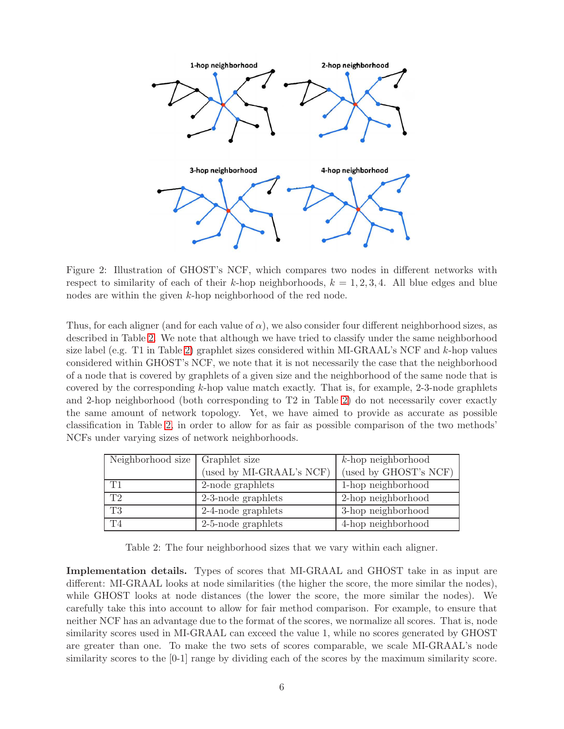

<span id="page-5-0"></span>Figure 2: Illustration of GHOST's NCF, which compares two nodes in different networks with respect to similarity of each of their k-hop neighborhoods,  $k = 1, 2, 3, 4$ . All blue edges and blue nodes are within the given k-hop neighborhood of the red node.

Thus, for each aligner (and for each value of  $\alpha$ ), we also consider four different neighborhood sizes, as described in Table [2.](#page-5-1) We note that although we have tried to classify under the same neighborhood size label (e.g. T1 in Table [2\)](#page-5-1) graphlet sizes considered within MI-GRAAL's NCF and  $k$ -hop values considered within GHOST's NCF, we note that it is not necessarily the case that the neighborhood of a node that is covered by graphlets of a given size and the neighborhood of the same node that is covered by the corresponding k-hop value match exactly. That is, for example, 2-3-node graphlets and 2-hop neighborhood (both corresponding to T2 in Table [2\)](#page-5-1) do not necessarily cover exactly the same amount of network topology. Yet, we have aimed to provide as accurate as possible classification in Table [2,](#page-5-1) in order to allow for as fair as possible comparison of the two methods' NCFs under varying sizes of network neighborhoods.

| Neighborhood size | Graphlet size            | $k$ -hop neighborhood |
|-------------------|--------------------------|-----------------------|
|                   | (used by MI-GRAAL's NCF) | (used by GHOST's NCF) |
| T1                | 2-node graphlets         | 1-hop neighborhood    |
| T2                | 2-3-node graphlets       | 2-hop neighborhood    |
| T <sub>3</sub>    | 2-4-node graphlets       | 3-hop neighborhood    |
| T <sub>4</sub>    | 2-5-node graphlets       | 4-hop neighborhood    |

<span id="page-5-1"></span>Table 2: The four neighborhood sizes that we vary within each aligner.

Implementation details. Types of scores that MI-GRAAL and GHOST take in as input are different: MI-GRAAL looks at node similarities (the higher the score, the more similar the nodes), while GHOST looks at node distances (the lower the score, the more similar the nodes). We carefully take this into account to allow for fair method comparison. For example, to ensure that neither NCF has an advantage due to the format of the scores, we normalize all scores. That is, node similarity scores used in MI-GRAAL can exceed the value 1, while no scores generated by GHOST are greater than one. To make the two sets of scores comparable, we scale MI-GRAAL's node similarity scores to the [0-1] range by dividing each of the scores by the maximum similarity score.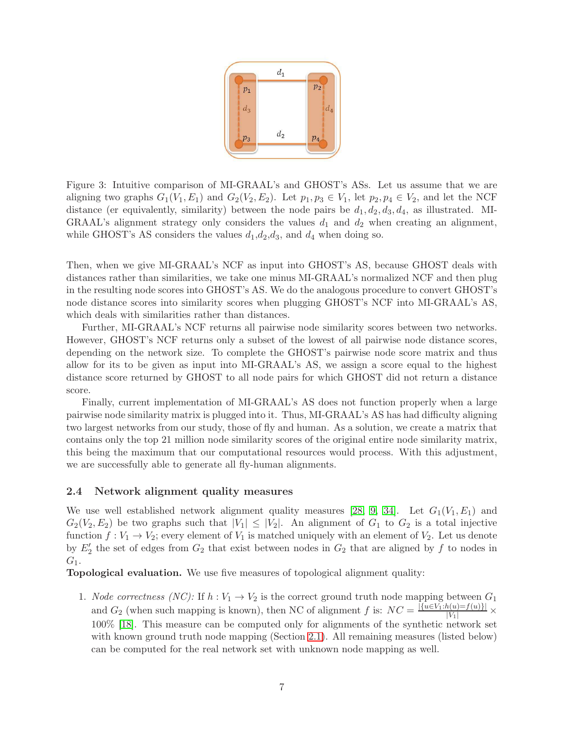

<span id="page-6-0"></span>Figure 3: Intuitive comparison of MI-GRAAL's and GHOST's ASs. Let us assume that we are aligning two graphs  $G_1(V_1, E_1)$  and  $G_2(V_2, E_2)$ . Let  $p_1, p_3 \in V_1$ , let  $p_2, p_4 \in V_2$ , and let the NCF distance (er equivalently, similarity) between the node pairs be  $d_1, d_2, d_3, d_4$ , as illustrated. MI-GRAAL's alignment strategy only considers the values  $d_1$  and  $d_2$  when creating an alignment, while GHOST's AS considers the values  $d_1, d_2, d_3$ , and  $d_4$  when doing so.

Then, when we give MI-GRAAL's NCF as input into GHOST's AS, because GHOST deals with distances rather than similarities, we take one minus MI-GRAAL's normalized NCF and then plug in the resulting node scores into GHOST's AS. We do the analogous procedure to convert GHOST's node distance scores into similarity scores when plugging GHOST's NCF into MI-GRAAL's AS, which deals with similarities rather than distances.

Further, MI-GRAAL's NCF returns all pairwise node similarity scores between two networks. However, GHOST's NCF returns only a subset of the lowest of all pairwise node distance scores, depending on the network size. To complete the GHOST's pairwise node score matrix and thus allow for its to be given as input into MI-GRAAL's AS, we assign a score equal to the highest distance score returned by GHOST to all node pairs for which GHOST did not return a distance score.

Finally, current implementation of MI-GRAAL's AS does not function properly when a large pairwise node similarity matrix is plugged into it. Thus, MI-GRAAL's AS has had difficulty aligning two largest networks from our study, those of fly and human. As a solution, we create a matrix that contains only the top 21 million node similarity scores of the original entire node similarity matrix, this being the maximum that our computational resources would process. With this adjustment, we are successfully able to generate all fly-human alignments.

## <span id="page-6-1"></span>2.4 Network alignment quality measures

We use well established network alignment quality measures [\[28,](#page-18-1) [9,](#page-16-0) [34\]](#page-18-10). Let  $G_1(V_1, E_1)$  and  $G_2(V_2, E_2)$  be two graphs such that  $|V_1| \leq |V_2|$ . An alignment of  $G_1$  to  $G_2$  is a total injective function  $f: V_1 \to V_2$ ; every element of  $V_1$  is matched uniquely with an element of  $V_2$ . Let us denote by  $E'_2$  the set of edges from  $G_2$  that exist between nodes in  $G_2$  that are aligned by f to nodes in  $G_1$ .

Topological evaluation. We use five measures of topological alignment quality:

1. *Node correctness (NC):* If  $h: V_1 \to V_2$  is the correct ground truth node mapping between  $G_1$ and  $G_2$  (when such mapping is known), then NC of alignment f is:  $NC = \frac{|\{u \in V_1 : h(u) = f(u)\}|}{|V_1|} \times$ 100% [\[18\]](#page-17-0). This measure can be computed only for alignments of the synthetic network set with known ground truth node mapping (Section [2.1\)](#page-2-0). All remaining measures (listed below) can be computed for the real network set with unknown node mapping as well.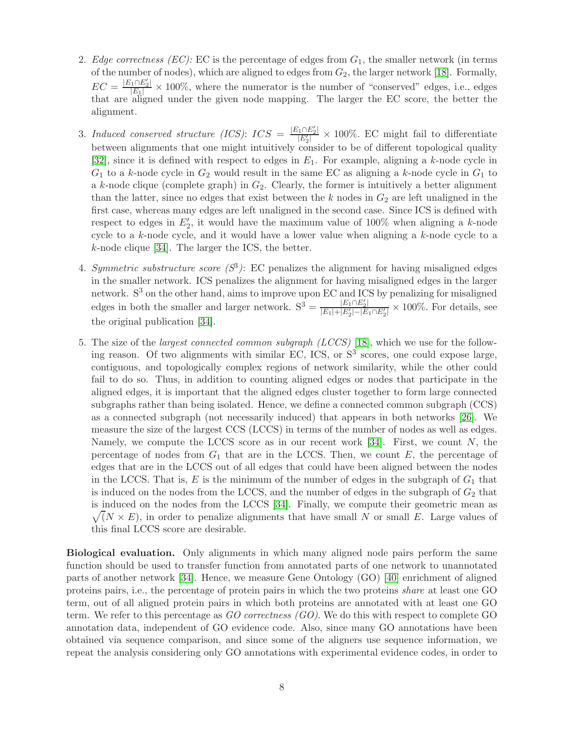- 2. *Edge correctness (EC):* EC is the percentage of edges from  $G_1$ , the smaller network (in terms of the number of nodes), which are aligned to edges from  $G_2$ , the larger network [\[18\]](#page-17-0). Formally,  $EC = \frac{|E_1 \cap E_2'|}{|E_1|} \times 100\%,$  where the numerator is the number of "conserved" edges, i.e., edges that are aligned under the given node mapping. The larger the EC score, the better the alignment.
- 3. *Induced conserved structure (ICS)*:  $ICS = \frac{|E_1 \cap E_2'|}{|E_1'|}$  $\frac{d\left(\frac{1}{1-\epsilon}\right)}{|E_2'|} \times 100\%$ . EC might fail to differentiate between alignments that one might intuitively consider to be of different topological quality [\[32\]](#page-18-7), since it is defined with respect to edges in  $E_1$ . For example, aligning a k-node cycle in  $G_1$  to a k-node cycle in  $G_2$  would result in the same EC as aligning a k-node cycle in  $G_1$  to a k-node clique (complete graph) in  $G_2$ . Clearly, the former is intuitively a better alignment than the latter, since no edges that exist between the k nodes in  $G_2$  are left unaligned in the first case, whereas many edges are left unaligned in the second case. Since ICS is defined with respect to edges in  $E'_2$ , it would have the maximum value of 100% when aligning a k-node cycle to a  $k$ -node cycle, and it would have a lower value when aligning a  $k$ -node cycle to a k-node clique [\[34\]](#page-18-10). The larger the ICS, the better.
- 4. *Symmetric substructure score*  $(S^3)$ : EC penalizes the alignment for having misaligned edges in the smaller network. ICS penalizes the alignment for having misaligned edges in the larger network.  $S<sup>3</sup>$  on the other hand, aims to improve upon EC and ICS by penalizing for misaligned edges in both the smaller and larger network. S<sup>3</sup> =  $\frac{|E_1 \cap E'_2|}{|E_1| + |E_1| - |E_2|}$  $\frac{|E_1||E_2|}{|E_1|+|E_2'|-|E_1 \cap E_2'|} \times 100\%$ . For details, see the original publication [\[34\]](#page-18-10).
- 5. The size of the *largest connected common subgraph (LCCS)* [\[18\]](#page-17-0), which we use for the following reason. Of two alignments with similar EC, ICS, or S<sup>3</sup> scores, one could expose large, contiguous, and topologically complex regions of network similarity, while the other could fail to do so. Thus, in addition to counting aligned edges or nodes that participate in the aligned edges, it is important that the aligned edges cluster together to form large connected subgraphs rather than being isolated. Hence, we define a connected common subgraph (CCS) as a connected subgraph (not necessarily induced) that appears in both networks [\[26\]](#page-17-1). We measure the size of the largest CCS (LCCS) in terms of the number of nodes as well as edges. Namely, we compute the LCCS score as in our recent work  $[34]$ . First, we count N, the percentage of nodes from  $G_1$  that are in the LCCS. Then, we count  $E$ , the percentage of edges that are in the LCCS out of all edges that could have been aligned between the nodes in the LCCS. That is,  $E$  is the minimum of the number of edges in the subgraph of  $G_1$  that is induced on the nodes from the LCCS, and the number of edges in the subgraph of  $G_2$  that is induced on the nodes from the LCCS [\[34\]](#page-18-10). Finally, we comput e their geometric mean as  $\sqrt(N \times E)$ , in order to penalize alignments that have small N or small E. Large values of this final LCCS score are desirable.

Biological evaluation. Only alignments in which many aligned node pairs perform the same function should be used to transfer function from annotated parts of one network to unannotated parts of another network [\[34\]](#page-18-10). Hence, we measure Gene Ontology (GO) [\[40\]](#page-18-15) enrichment of aligned proteins pairs, i.e., the percentage of protein pairs in which the two proteins *share* at least one GO term, out of all aligned protein pairs in which both proteins are annotated with at least one GO term. We refer to this percentage as *GO correctness (GO)*. We do this with respect to complete GO annotation data, independent of GO evidence code. Also, since many GO annotations have been obtained via sequence comparison, and since some of the aligners use sequence information, we repeat the analysis considering only GO annotations with experimental evidence codes, in order to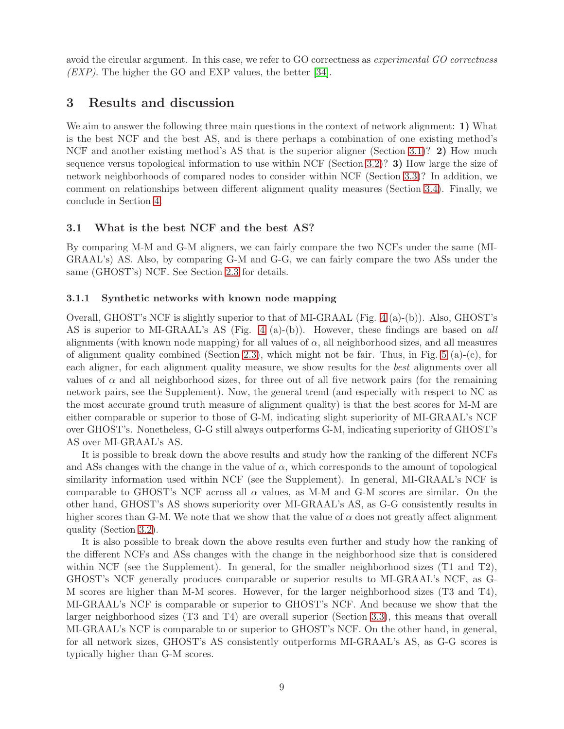avoid the circular argument. In this case, we refer to GO correctness as *experimental GO correctness (EXP)*. The higher the GO and EXP values, the better [\[34\]](#page-18-10).

# 3 Results and discussion

We aim to answer the following three main questions in the context of network alignment: 1) What is the best NCF and the best AS, and is there perhaps a combination of one existing method's NCF and another existing method's AS that is the superior aligner (Section [3.1\)](#page-8-0)? 2) How much sequence versus topological information to use within NCF (Section [3.2\)](#page-11-0)? 3) How large the size of network neighborhoods of compared nodes to consider within NCF (Section [3.3\)](#page-12-0)? In addition, we comment on relationships between different alignment quality measures (Section [3.4\)](#page-14-0). Finally, we conclude in Section [4.](#page-15-0)

# <span id="page-8-0"></span>3.1 What is the best NCF and the best AS?

By comparing M-M and G-M aligners, we can fairly compare the two NCFs under the same (MI-GRAAL's) AS. Also, by comparing G-M and G-G, we can fairly compare the two ASs under the same (GHOST's) NCF. See Section [2.3](#page-4-1) for details.

# 3.1.1 Synthetic networks with known node mapping

Overall, GHOST's NCF is slightly superior to that of MI-GRAAL (Fig. [4](#page-9-0) (a)-(b)). Also, GHOST's AS is superior to MI-GRAAL's AS (Fig. [4](#page-9-0) (a)-(b)). However, these findings are based on *all* alignments (with known node mapping) for all values of  $\alpha$ , all neighborhood sizes, and all measures of alignment quality combined (Section [2.3\)](#page-4-1), which might not be fair. Thus, in Fig.  $5$  (a)-(c), for each aligner, for each alignment quality measure, we show results for the *best* alignments over all values of  $\alpha$  and all neighborhood sizes, for three out of all five network pairs (for the remaining network pairs, see the Supplement). Now, the general trend (and especially with respect to NC as the most accurate ground truth measure of alignment quality) is that the best scores for M-M are either comparable or superior to those of G-M, indicating slight superiority of MI-GRAAL's NCF over GHOST's. Nonetheless, G-G still always outperforms G-M, indicating superiority of GHOST's AS over MI-GRAAL's AS.

It is possible to break down the above results and study how the ranking of the different NCFs and ASs changes with the change in the value of  $\alpha$ , which corresponds to the amount of topological similarity information used within NCF (see the Supplement). In general, MI-GRAAL's NCF is comparable to GHOST's NCF across all  $\alpha$  values, as M-M and G-M scores are similar. On the other hand, GHOST's AS shows superiority over MI-GRAAL's AS, as G-G consistently results in higher scores than G-M. We note that we show that the value of  $\alpha$  does not greatly affect alignment quality (Section [3.2\)](#page-11-0).

It is also possible to break down the above results even further and study how the ranking of the different NCFs and ASs changes with the change in the neighborhood size that is considered within NCF (see the Supplement). In general, for the smaller neighborhood sizes (T1 and T2), GHOST's NCF generally produces comparable or superior results to MI-GRAAL's NCF, as G-M scores are higher than M-M scores. However, for the larger neighborhood sizes (T3 and T4), MI-GRAAL's NCF is comparable or superior to GHOST's NCF. And because we show that the larger neighborhood sizes (T3 and T4) are overall superior (Section [3.3\)](#page-12-0), this means that overall MI-GRAAL's NCF is comparable to or superior to GHOST's NCF. On the other hand, in general, for all network sizes, GHOST's AS consistently outperforms MI-GRAAL's AS, as G-G scores is typically higher than G-M scores.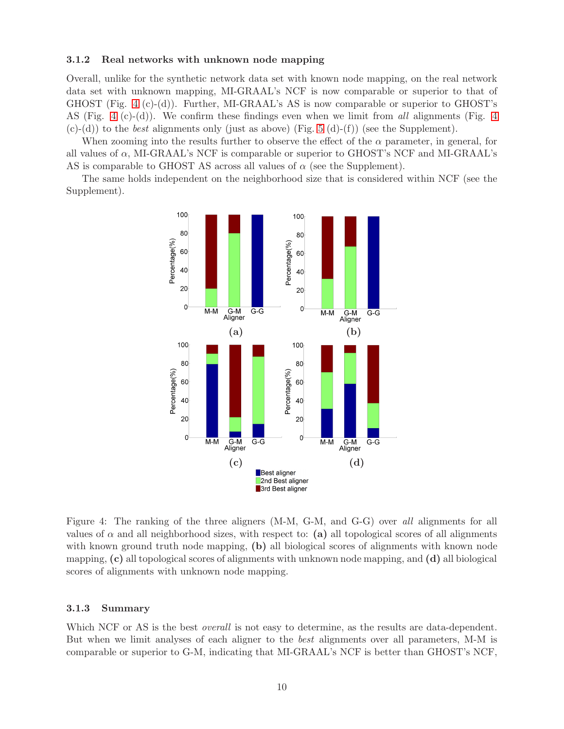#### 3.1.2 Real networks with unknown node mapping

Overall, unlike for the synthetic network data set with known node mapping, on the real network data set with unknown mapping, MI-GRAAL's NCF is now comparable or superior to that of GHOST (Fig. [4](#page-9-0) (c)-(d)). Further, MI-GRAAL's AS is now comparable or superior to GHOST's AS (Fig. [4](#page-9-0) (c)-(d)). We confirm these findings even when we limit from *all* alignments (Fig. [4](#page-9-0)  $(c)-(d)$  to the *best* alignments only (just as above) (Fig. [5](#page-10-0) (d)-(f)) (see the Supplement).

When zooming into the results further to observe the effect of the  $\alpha$  parameter, in general, for all values of  $\alpha$ , MI-GRAAL's NCF is comparable or superior to GHOST's NCF and MI-GRAAL's AS is comparable to GHOST AS across all values of  $\alpha$  (see the Supplement).

The same holds independent on the neighborhood size that is considered within NCF (see the Supplement).



<span id="page-9-0"></span>Figure 4: The ranking of the three aligners (M-M, G-M, and G-G) over *all* alignments for all values of  $\alpha$  and all neighborhood sizes, with respect to: (a) all topological scores of all alignments with known ground truth node mapping, (b) all biological scores of alignments with known node mapping, (c) all topological scores of alignments with unknown node mapping, and (d) all biological scores of alignments with unknown node mapping.

## 3.1.3 Summary

Which NCF or AS is the best *overall* is not easy to determine, as the results are data-dependent. But when we limit analyses of each aligner to the *best* alignments over all parameters, M-M is comparable or superior to G-M, indicating that MI-GRAAL's NCF is better than GHOST's NCF,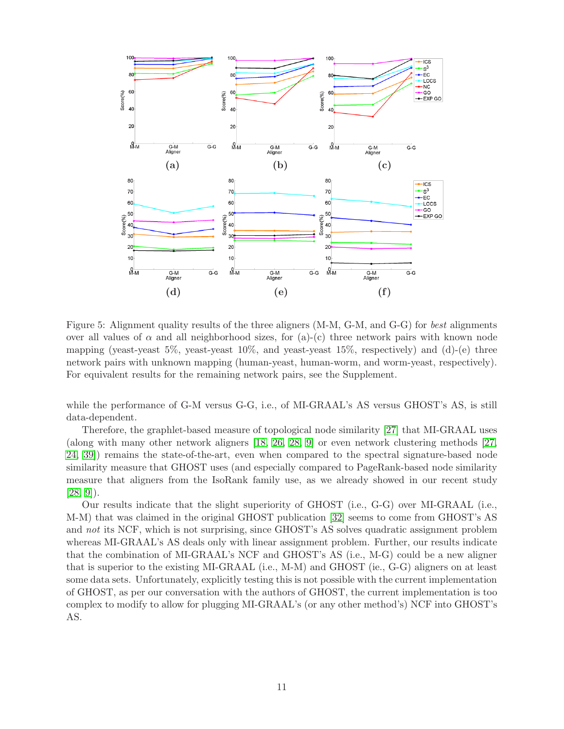

<span id="page-10-0"></span>Figure 5: Alignment quality results of the three aligners (M-M, G-M, and G-G) for *best* alignments over all values of  $\alpha$  and all neighborhood sizes, for (a)-(c) three network pairs with known node mapping (yeast-yeast 5%, yeast-yeast  $10\%$ , and yeast-yeast  $15\%$ , respectively) and (d)-(e) three network pairs with unknown mapping (human-yeast, human-worm, and worm-yeast, respectively). For equivalent results for the remaining network pairs, see the Supplement.

while the performance of G-M versus G-G, i.e., of MI-GRAAL's AS versus GHOST's AS, is still data-dependent.

Therefore, the graphlet-based measure of topological node similarity [\[27\]](#page-18-12) that MI-GRAAL uses (along with many other network aligners [\[18,](#page-17-0) [26,](#page-17-1) [28,](#page-18-1) [9\]](#page-16-0) or even network clustering methods [\[27,](#page-18-12) [24,](#page-17-13) [39\]](#page-18-13)) remains the state-of-the-art, even when compared to the spectral signature-based node similarity measure that GHOST uses (and especially compared to PageRank-based node similarity measure that aligners from the IsoRank family use, as we already showed in our recent study  $[28, 9]$  $[28, 9]$ ).

Our results indicate that the slight superiority of GHOST (i.e., G-G) over MI-GRAAL (i.e., M-M) that was claimed in the original GHOST publication [\[32\]](#page-18-7) seems to come from GHOST's AS and *not* its NCF, which is not surprising, since GHOST's AS solves quadratic assignment problem whereas MI-GRAAL's AS deals only with linear assignment problem. Further, our results indicate that the combination of MI-GRAAL's NCF and GHOST's AS (i.e., M-G) could be a new aligner that is superior to the existing MI-GRAAL (i.e., M-M) and GHOST (ie., G-G) aligners on at least some data sets. Unfortunately, explicitly testing this is not possible with the current implementation of GHOST, as per our conversation with the authors of GHOST, the current implementation is too complex to modify to allow for plugging MI-GRAAL's (or any other method's) NCF into GHOST's AS.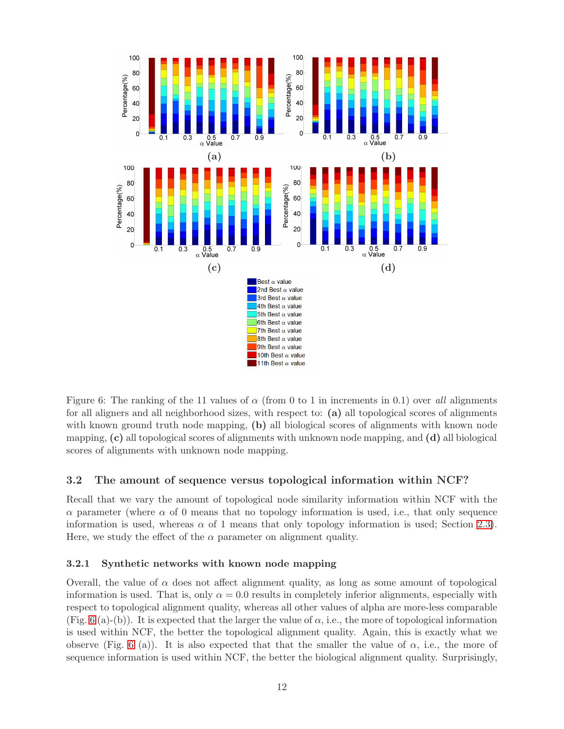

<span id="page-11-1"></span>Figure 6: The ranking of the 11 values of  $\alpha$  (from 0 to 1 in increments in 0.1) over *all* alignments for all aligners and all neighborhood sizes, with respect to: (a) all topological scores of alignments with known ground truth node mapping, (b) all biological scores of alignments with known node mapping, (c) all topological scores of alignments with unknown node mapping, and (d) all biological scores of alignments with unknown node mapping.

# <span id="page-11-0"></span>3.2 The amount of sequence versus topological information within NCF?

Recall that we vary the amount of topological node similarity information within NCF with the  $\alpha$  parameter (where  $\alpha$  of 0 means that no topology information is used, i.e., that only sequence information is used, whereas  $\alpha$  of 1 means that only topology information is used; Section [2.3\)](#page-4-1). Here, we study the effect of the  $\alpha$  parameter on alignment quality.

# 3.2.1 Synthetic networks with known node mapping

Overall, the value of  $\alpha$  does not affect alignment quality, as long as some amount of topological information is used. That is, only  $\alpha = 0.0$  results in completely inferior alignments, especially with respect to topological alignment quality, whereas all other values of alpha are more-less comparable (Fig. [6](#page-11-1) (a)-(b)). It is expected that the larger the value of  $\alpha$ , i.e., the more of topological information is used within NCF, the better the topological alignment quality. Again, this is exactly what we observe (Fig. [6](#page-11-1) (a)). It is also expected that that the smaller the value of  $\alpha$ , i.e., the more of sequence information is used within NCF, the better the biological alignment quality. Surprisingly,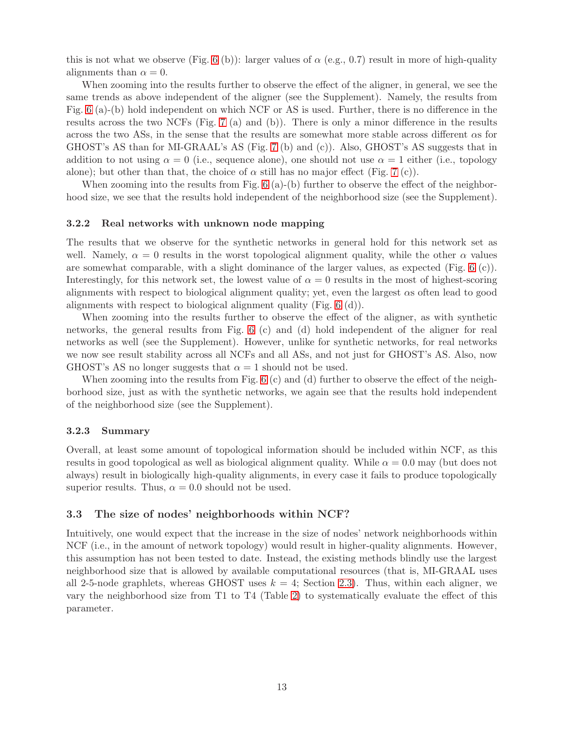this is not what we observe (Fig. [6](#page-11-1) (b)): larger values of  $\alpha$  (e.g., 0.7) result in more of high-quality alignments than  $\alpha = 0$ .

When zooming into the results further to observe the effect of the aligner, in general, we see the same trends as above independent of the aligner (see the Supplement). Namely, the results from Fig. [6](#page-11-1) (a)-(b) hold independent on which NCF or AS is used. Further, there is no difference in the results across the two NCFs (Fig. [7](#page-13-0) (a) and (b)). There is only a minor difference in the results across the two ASs, in the sense that the results are somewhat more stable across different  $\alpha$ s for GHOST's AS than for MI-GRAAL's AS (Fig. [7](#page-13-0) (b) and (c)). Also, GHOST's AS suggests that in addition to not using  $\alpha = 0$  (i.e., sequence alone), one should not use  $\alpha = 1$  either (i.e., topology alone); but other than that, the choice of  $\alpha$  still has no major effect (Fig. [7](#page-13-0) (c)).

When zooming into the results from Fig.  $6$  (a)-(b) further to observe the effect of the neighborhood size, we see that the results hold independent of the neighborhood size (see the Supplement).

### 3.2.2 Real networks with unknown node mapping

The results that we observe for the synthetic networks in general hold for this network set as well. Namely,  $\alpha = 0$  results in the worst topological alignment quality, while the other  $\alpha$  values are somewhat comparable, with a slight dominance of the larger values, as expected (Fig. [6](#page-11-1) (c)). Interestingly, for this network set, the lowest value of  $\alpha = 0$  results in the most of highest-scoring alignments with respect to biological alignment quality; yet, even the largest  $\alpha s$  often lead to good alignments with respect to biological alignment quality (Fig.  $6$  (d)).

When zooming into the results further to observe the effect of the aligner, as with synthetic networks, the general results from Fig. [6](#page-11-1) (c) and (d) hold independent of the aligner for real networks as well (see the Supplement). However, unlike for synthetic networks, for real networks we now see result stability across all NCFs and all ASs, and not just for GHOST's AS. Also, now GHOST's AS no longer suggests that  $\alpha = 1$  should not be used.

When zooming into the results from Fig. [6](#page-11-1) (c) and (d) further to observe the effect of the neighborhood size, just as with the synthetic networks, we again see that the results hold independent of the neighborhood size (see the Supplement).

### <span id="page-12-1"></span>3.2.3 Summary

Overall, at least some amount of topological information should be included within NCF, as this results in good topological as well as biological alignment quality. While  $\alpha = 0.0$  may (but does not always) result in biologically high-quality alignments, in every case it fails to produce topologically superior results. Thus,  $\alpha = 0.0$  should not be used.

### <span id="page-12-0"></span>3.3 The size of nodes' neighborhoods within NCF?

Intuitively, one would expect that the increase in the size of nodes' network neighborhoods within NCF (i.e., in the amount of network topology) would result in higher-quality alignments. However, this assumption has not been tested to date. Instead, the existing methods blindly use the largest neighborhood size that is allowed by available computational resources (that is, MI-GRAAL uses all 2-5-node graphlets, whereas GHOST uses  $k = 4$ ; Section [2.3\)](#page-4-1). Thus, within each aligner, we vary the neighborhood size from T1 to T4 (Table [2\)](#page-5-1) to systematically evaluate the effect of this parameter.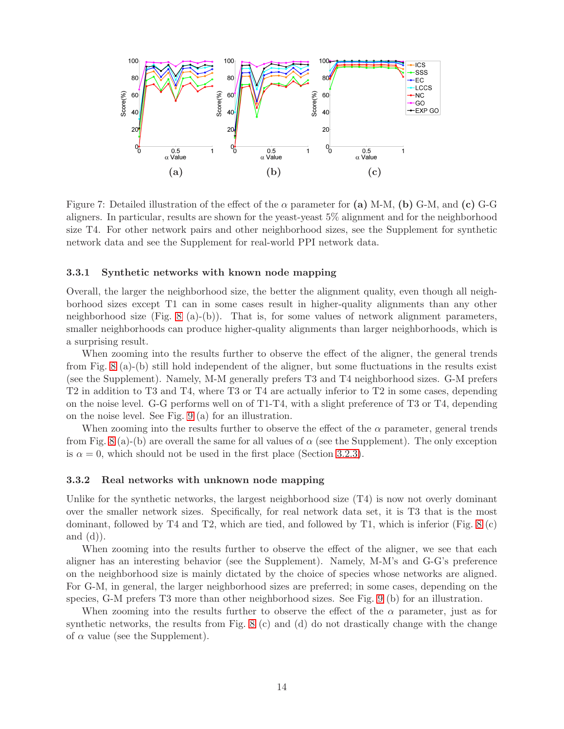

<span id="page-13-0"></span>Figure 7: Detailed illustration of the effect of the  $\alpha$  parameter for (a) M-M, (b) G-M, and (c) G-G aligners. In particular, results are shown for the yeast-yeast 5% alignment and for the neighborhood size T4. For other network pairs and other neighborhood sizes, see the Supplement for synthetic network data and see the Supplement for real-world PPI network data.

## 3.3.1 Synthetic networks with known node mapping

Overall, the larger the neighborhood size, the better the alignment quality, even though all neighborhood sizes except T1 can in some cases result in higher-quality alignments than any other neighborhood size (Fig. [8](#page-14-1) (a)-(b)). That is, for some values of network alignment parameters, smaller neighborhoods can produce higher-quality alignments than larger neighborhoods, which is a surprising result.

When zooming into the results further to observe the effect of the aligner, the general trends from Fig. [8](#page-14-1) (a)-(b) still hold independent of the aligner, but some fluctuations in the results exist (see the Supplement). Namely, M-M generally prefers T3 and T4 neighborhood sizes. G-M prefers T2 in addition to T3 and T4, where T3 or T4 are actually inferior to T2 in some cases, depending on the noise level. G-G performs well on of T1-T4, with a slight preference of T3 or T4, depending on the noise level. See Fig. [9](#page-15-1) (a) for an illustration.

When zooming into the results further to observe the effect of the  $\alpha$  parameter, general trends from Fig. [8](#page-14-1) (a)-(b) are overall the same for all values of  $\alpha$  (see the Supplement). The only exception is  $\alpha = 0$ , which should not be used in the first place (Section [3.2.3\)](#page-12-1).

#### 3.3.2 Real networks with unknown node mapping

Unlike for the synthetic networks, the largest neighborhood size (T4) is now not overly dominant over the smaller network sizes. Specifically, for real network data set, it is T3 that is the most dominant, followed by T4 and T2, which are tied, and followed by T1, which is inferior (Fig. [8](#page-14-1) (c) and  $(d)$ ).

When zooming into the results further to observe the effect of the aligner, we see that each aligner has an interesting behavior (see the Supplement). Namely, M-M's and G-G's preference on the neighborhood size is mainly dictated by the choice of species whose networks are aligned. For G-M, in general, the larger neighborhood sizes are preferred; in some cases, depending on the species, G-M prefers T3 more than other neighborhood sizes. See Fig. [9](#page-15-1) (b) for an illustration.

When zooming into the results further to observe the effect of the  $\alpha$  parameter, just as for synthetic networks, the results from Fig. [8](#page-14-1) (c) and (d) do not drastically change with the change of  $\alpha$  value (see the Supplement).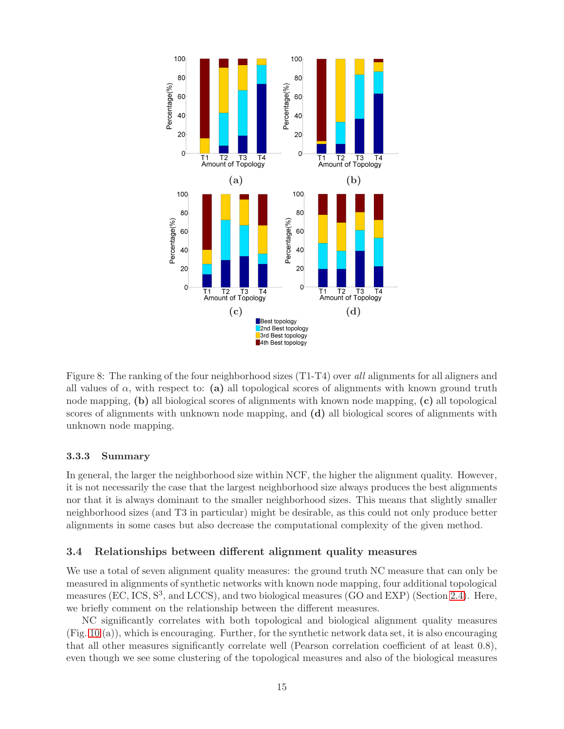

<span id="page-14-1"></span>Figure 8: The ranking of the four neighborhood sizes (T1-T4) over *all* alignments for all aligners and all values of  $\alpha$ , with respect to: (a) all topological scores of alignments with known ground truth node mapping, (b) all biological scores of alignments with known node mapping, (c) all topological scores of alignments with unknown node mapping, and (d) all biological scores of alignments with unknown node mapping.

## 3.3.3 Summary

In general, the larger the neighborhood size within NCF, the higher the alignment quality. However, it is not necessarily the case that the largest neighborhood size always produces the best alignments nor that it is always dominant to the smaller neighborhood sizes. This means that slightly smaller neighborhood sizes (and T3 in particular) might be desirable, as this could not only produce better alignments in some cases but also decrease the computational complexity of the given method.

## <span id="page-14-0"></span>3.4 Relationships between different alignment quality measures

We use a total of seven alignment quality measures: the ground truth NC measure that can only be measured in alignments of synthetic networks with known node mapping, four additional topological measures (EC, ICS, S<sup>3</sup>, and LCCS), and two biological measures (GO and EXP) (Section [2.4\)](#page-6-1). Here, we briefly comment on the relationship between the different measures.

NC significantly correlates with both topological and biological alignment quality measures (Fig. [10](#page-15-2) (a)), which is encouraging. Further, for the synthetic network data set, it is also encouraging that all other measures significantly correlate well (Pearson correlation coefficient of at least 0.8), even though we see some clustering of the topological measures and also of the biological measures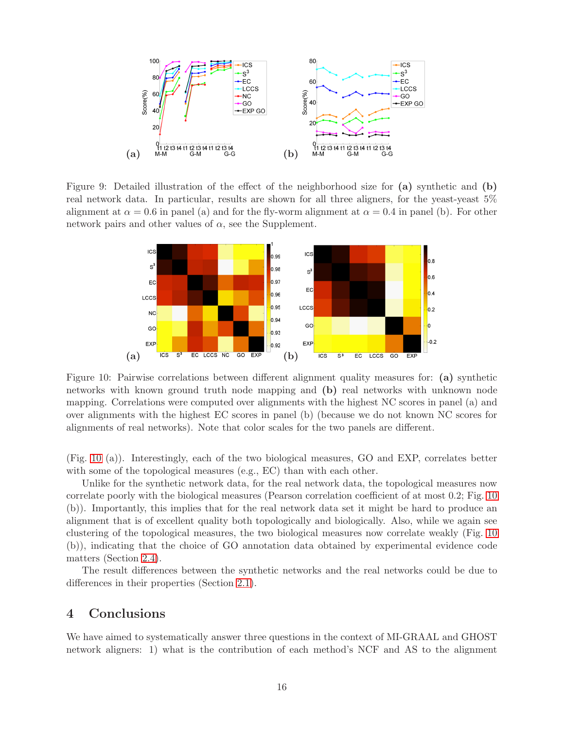

Figure 9: Detailed illustration of the effect of the neighborhood size for (a) synthetic and (b) real network data. In particular, results are shown for all three aligners, for the yeast-yeast 5% alignment at  $\alpha = 0.6$  in panel (a) and for the fly-worm alignment at  $\alpha = 0.4$  in panel (b). For other network pairs and other values of  $\alpha$ , see the Supplement.

<span id="page-15-1"></span>

<span id="page-15-2"></span>Figure 10: Pairwise correlations between different alignment quality measures for: (a) synthetic networks with known ground truth node mapping and (b) real networks with unknown node mapping. Correlations were computed over alignments with the highest NC scores in panel (a) and over alignments with the highest EC scores in panel (b) (because we do not known NC scores for alignments of real networks). Note that color scales for the two panels are different.

(Fig. [10](#page-15-2) (a)). Interestingly, each of the two biological measures, GO and EXP, correlates better with some of the topological measures (e.g., EC) than with each other.

Unlike for the synthetic network data, for the real network data, the topological measures now correlate poorly with the biological measures (Pearson correlation coefficient of at most 0.2; Fig. [10](#page-15-2) (b)). Importantly, this implies that for the real network data set it might be hard to produce an alignment that is of excellent quality both topologically and biologically. Also, while we again see clustering of the topological measures, the two biological measures now correlate weakly (Fig. [10](#page-15-2) (b)), indicating that the choice of GO annotation data obtained by experimental evidence code matters (Section [2.4\)](#page-6-1).

The result differences between the synthetic networks and the real networks could be due to differences in their properties (Section [2.1\)](#page-2-0).

# <span id="page-15-0"></span>4 Conclusions

We have aimed to systematically answer three questions in the context of MI-GRAAL and GHOST network aligners: 1) what is the contribution of each method's NCF and AS to the alignment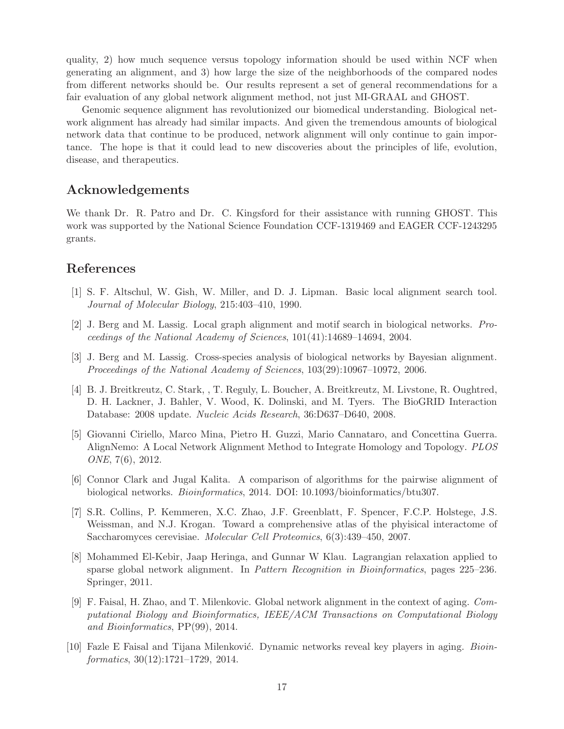quality, 2) how much sequence versus topology information should be used within NCF when generating an alignment, and 3) how large the size of the neighborhoods of the compared nodes from different networks should be. Our results represent a set of general recommendations for a fair evaluation of any global network alignment method, not just MI-GRAAL and GHOST.

Genomic sequence alignment has revolutionized our biomedical understanding. Biological network alignment has already had similar impacts. And given the tremendous amounts of biological network data that continue to be produced, network alignment will only continue to gain importance. The hope is that it could lead to new discoveries about the principles of life, evolution, disease, and therapeutics.

# Acknowledgements

We thank Dr. R. Patro and Dr. C. Kingsford for their assistance with running GHOST. This work was supported by the National Science Foundation CCF-1319469 and EAGER CCF-1243295 grants.

# <span id="page-16-9"></span>References

- <span id="page-16-2"></span>[1] S. F. Altschul, W. Gish, W. Miller, and D. J. Lipman. Basic local alignment search tool. *Journal of Molecular Biology*, 215:403–410, 1990.
- <span id="page-16-3"></span>[2] J. Berg and M. Lassig. Local graph alignment and motif search in biological networks. *Proceedings of the National Academy of Sciences*, 101(41):14689–14694, 2004.
- [3] J. Berg and M. Lassig. Cross-species analysis of biological networks by Bayesian alignment. *Proceedings of the National Academy of Sciences*, 103(29):10967–10972, 2006.
- <span id="page-16-8"></span>[4] B. J. Breitkreutz, C. Stark, , T. Reguly, L. Boucher, A. Breitkreutz, M. Livstone, R. Oughtred, D. H. Lackner, J. Bahler, V. Wood, K. Dolinski, and M. Tyers. The BioGRID Interaction Database: 2008 update. *Nucleic Acids Research*, 36:D637–D640, 2008.
- <span id="page-16-4"></span>[5] Giovanni Ciriello, Marco Mina, Pietro H. Guzzi, Mario Cannataro, and Concettina Guerra. AlignNemo: A Local Network Alignment Method to Integrate Homology and Topology. *PLOS ONE*, 7(6), 2012.
- <span id="page-16-6"></span>[6] Connor Clark and Jugal Kalita. A comparison of algorithms for the pairwise alignment of biological networks. *Bioinformatics*, 2014. DOI: 10.1093/bioinformatics/btu307.
- <span id="page-16-7"></span>[7] S.R. Collins, P. Kemmeren, X.C. Zhao, J.F. Greenblatt, F. Spencer, F.C.P. Holstege, J.S. Weissman, and N.J. Krogan. Toward a comprehensive atlas of the phyisical interactome of Saccharomyces cerevisiae. *Molecular Cell Proteomics*, 6(3):439–450, 2007.
- <span id="page-16-5"></span>[8] Mohammed El-Kebir, Jaap Heringa, and Gunnar W Klau. Lagrangian relaxation applied to sparse global network alignment. In *Pattern Recognition in Bioinformatics*, pages 225–236. Springer, 2011.
- <span id="page-16-0"></span>[9] F. Faisal, H. Zhao, and T. Milenkovic. Global network alignment in the context of aging. *Computational Biology and Bioinformatics, IEEE/ACM Transactions on Computational Biology and Bioinformatics*, PP(99), 2014.
- <span id="page-16-1"></span>[10] Fazle E Faisal and Tijana Milenković. Dynamic networks reveal key players in aging. *Bioinformatics*, 30(12):1721–1729, 2014.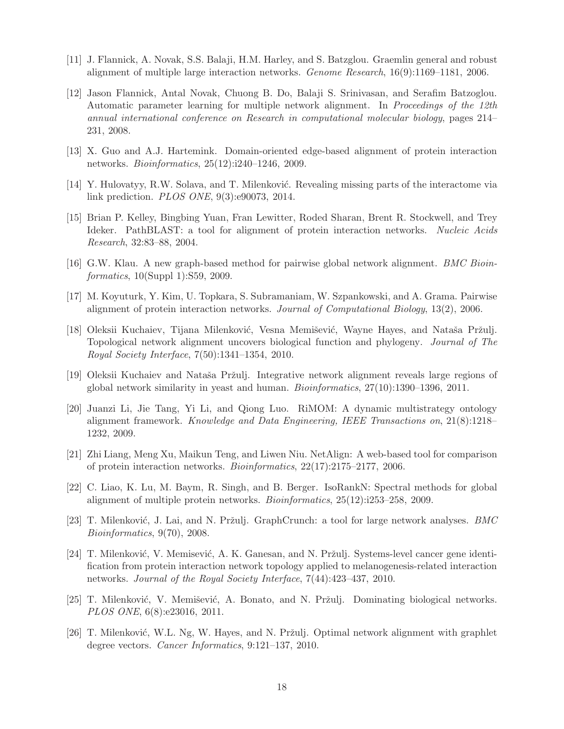- <span id="page-17-8"></span><span id="page-17-5"></span>[11] J. Flannick, A. Novak, S.S. Balaji, H.M. Harley, and S. Batzglou. Graemlin general and robust alignment of multiple large interaction networks. *Genome Research*, 16(9):1169–1181, 2006.
- [12] Jason Flannick, Antal Novak, Chuong B. Do, Balaji S. Srinivasan, and Serafim Batzoglou. Automatic parameter learning for multiple network alignment. In *Proceedings of the 12th annual international conference on Research in computational molecular biology*, pages 214– 231, 2008.
- <span id="page-17-15"></span><span id="page-17-10"></span>[13] X. Guo and A.J. Hartemink. Domain-oriented edge-based alignment of protein interaction networks. *Bioinformatics*, 25(12):i240–1246, 2009.
- <span id="page-17-4"></span>[14] Y. Hulovatyy, R.W. Solava, and T. Milenković. Revealing missing parts of the interactome via link prediction. *PLOS ONE*, 9(3):e90073, 2014.
- [15] Brian P. Kelley, Bingbing Yuan, Fran Lewitter, Roded Sharan, Brent R. Stockwell, and Trey Ideker. PathBLAST: a tool for alignment of protein interaction networks. *Nucleic Acids Research*, 32:83–88, 2004.
- <span id="page-17-11"></span>[16] G.W. Klau. A new graph-based method for pairwise global network alignment. *BMC Bioinformatics*, 10(Suppl 1):S59, 2009.
- <span id="page-17-6"></span>[17] M. Koyuturk, Y. Kim, U. Topkara, S. Subramaniam, W. Szpankowski, and A. Grama. Pairwise alignment of protein interaction networks. *Journal of Computational Biology*, 13(2), 2006.
- <span id="page-17-0"></span>[18] Oleksii Kuchaiev, Tijana Milenković, Vesna Memišević, Wayne Hayes, and Nataša Pržulj. Topological network alignment uncovers biological function and phylogeny. *Journal of The Royal Society Interface*, 7(50):1341–1354, 2010.
- <span id="page-17-2"></span>[19] Oleksii Kuchaiev and Nataša Pržulj. Integrative network alignment reveals large regions of global network similarity in yeast and human. *Bioinformatics*, 27(10):1390–1396, 2011.
- <span id="page-17-3"></span>[20] Juanzi Li, Jie Tang, Yi Li, and Qiong Luo. RiMOM: A dynamic multistrategy ontology alignment framework. *Knowledge and Data Engineering, IEEE Transactions on*, 21(8):1218– 1232, 2009.
- <span id="page-17-7"></span>[21] Zhi Liang, Meng Xu, Maikun Teng, and Liwen Niu. NetAlign: A web-based tool for comparison of protein interaction networks. *Bioinformatics*, 22(17):2175–2177, 2006.
- <span id="page-17-9"></span>[22] C. Liao, K. Lu, M. Baym, R. Singh, and B. Berger. IsoRankN: Spectral methods for global alignment of multiple protein networks. *Bioinformatics*, 25(12):i253–258, 2009.
- <span id="page-17-12"></span>[23] T. Milenković, J. Lai, and N. Pržulj. GraphCrunch: a tool for large network analyses. *BMC Bioinformatics*, 9(70), 2008.
- <span id="page-17-13"></span>[24] T. Milenković, V. Memisević, A. K. Ganesan, and N. Pržulj. Systems-level cancer gene identification from protein interaction network topology applied to melanogenesis-related interaction networks. *Journal of the Royal Society Interface*, 7(44):423–437, 2010.
- <span id="page-17-14"></span>[25] T. Milenković, V. Memišević, A. Bonato, and N. Pržulj. Dominating biological networks. *PLOS ONE*, 6(8):e23016, 2011.
- <span id="page-17-1"></span>[26] T. Milenković, W.L. Ng, W. Hayes, and N. Pržulj. Optimal network alignment with graphlet degree vectors. *Cancer Informatics*, 9:121–137, 2010.